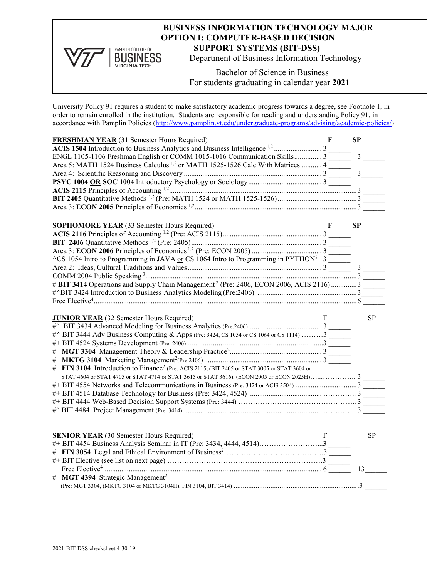## **BUSINESS INFORMATION TECHNOLOGY MAJOR OPTION I: COMPUTER-BASED DECISION BUSINESS** SUPPORT SYSTEMS (BIT-DSS)<br>
BUSINESS Department of Business Information 1

Department of Business Information Technology

Bachelor of Science in Business For students graduating in calendar year **2021**

University Policy 91 requires a student to make satisfactory academic progress towards a degree, see Footnote 1, in order to remain enrolled in the institution. Students are responsible for reading and understanding Policy 91, in accordance with Pamplin Policies [\(http://www.pamplin.vt.edu/undergraduate-programs/advising/academic-policies/\)](http://www.pamplin.vt.edu/undergraduate-programs/advising/academic-policies/)

PAMPLIN COLLEGE OF

**VIRGINIA TECH.** 

| ENGL 1105-1106 Freshman English or COMM 1015-1016 Communication Skills 3<br>$\mathfrak{Z}$<br>Area 5: MATH 1524 Business Calculus <sup>1,2</sup> or MATH 1525-1526 Calc With Matrices  4<br>3<br><b>SOPHOMORE YEAR</b> (33 Semester Hours Required)<br><b>SP</b><br>F<br>$\text{C}$ S 1054 Intro to Programming in JAVA or CS 1064 Intro to Programming in PYTHON <sup>5</sup> 3<br>$\overline{3}$<br># BIT 3414 Operations and Supply Chain Management <sup>2</sup> (Pre: 2406, ECON 2006, ACIS 2116) 3<br><b>SP</b><br><b>JUNIOR YEAR</b> (32 Semester Hours Required)<br>F<br>#^ BIT 3444 Adv Business Computing & Apps (Pre: 3424, CS 1054 or CS 1064 or CS 1114) 3 |
|-------------------------------------------------------------------------------------------------------------------------------------------------------------------------------------------------------------------------------------------------------------------------------------------------------------------------------------------------------------------------------------------------------------------------------------------------------------------------------------------------------------------------------------------------------------------------------------------------------------------------------------------------------------------------|
|                                                                                                                                                                                                                                                                                                                                                                                                                                                                                                                                                                                                                                                                         |
|                                                                                                                                                                                                                                                                                                                                                                                                                                                                                                                                                                                                                                                                         |
|                                                                                                                                                                                                                                                                                                                                                                                                                                                                                                                                                                                                                                                                         |
|                                                                                                                                                                                                                                                                                                                                                                                                                                                                                                                                                                                                                                                                         |
|                                                                                                                                                                                                                                                                                                                                                                                                                                                                                                                                                                                                                                                                         |
|                                                                                                                                                                                                                                                                                                                                                                                                                                                                                                                                                                                                                                                                         |
|                                                                                                                                                                                                                                                                                                                                                                                                                                                                                                                                                                                                                                                                         |
|                                                                                                                                                                                                                                                                                                                                                                                                                                                                                                                                                                                                                                                                         |
|                                                                                                                                                                                                                                                                                                                                                                                                                                                                                                                                                                                                                                                                         |
|                                                                                                                                                                                                                                                                                                                                                                                                                                                                                                                                                                                                                                                                         |
|                                                                                                                                                                                                                                                                                                                                                                                                                                                                                                                                                                                                                                                                         |
|                                                                                                                                                                                                                                                                                                                                                                                                                                                                                                                                                                                                                                                                         |
|                                                                                                                                                                                                                                                                                                                                                                                                                                                                                                                                                                                                                                                                         |
|                                                                                                                                                                                                                                                                                                                                                                                                                                                                                                                                                                                                                                                                         |
|                                                                                                                                                                                                                                                                                                                                                                                                                                                                                                                                                                                                                                                                         |
|                                                                                                                                                                                                                                                                                                                                                                                                                                                                                                                                                                                                                                                                         |
|                                                                                                                                                                                                                                                                                                                                                                                                                                                                                                                                                                                                                                                                         |
|                                                                                                                                                                                                                                                                                                                                                                                                                                                                                                                                                                                                                                                                         |
|                                                                                                                                                                                                                                                                                                                                                                                                                                                                                                                                                                                                                                                                         |
|                                                                                                                                                                                                                                                                                                                                                                                                                                                                                                                                                                                                                                                                         |
|                                                                                                                                                                                                                                                                                                                                                                                                                                                                                                                                                                                                                                                                         |
|                                                                                                                                                                                                                                                                                                                                                                                                                                                                                                                                                                                                                                                                         |
|                                                                                                                                                                                                                                                                                                                                                                                                                                                                                                                                                                                                                                                                         |
|                                                                                                                                                                                                                                                                                                                                                                                                                                                                                                                                                                                                                                                                         |
|                                                                                                                                                                                                                                                                                                                                                                                                                                                                                                                                                                                                                                                                         |
|                                                                                                                                                                                                                                                                                                                                                                                                                                                                                                                                                                                                                                                                         |
|                                                                                                                                                                                                                                                                                                                                                                                                                                                                                                                                                                                                                                                                         |
| # FIN 3104 Introduction to Finance <sup>2</sup> (Pre: ACIS 2115, (BIT 2405 or STAT 3005 or STAT 3604 or                                                                                                                                                                                                                                                                                                                                                                                                                                                                                                                                                                 |
|                                                                                                                                                                                                                                                                                                                                                                                                                                                                                                                                                                                                                                                                         |
| #+ BIT 4554 Networks and Telecommunications in Business (Pre: 3424 or ACIS 3504) 3                                                                                                                                                                                                                                                                                                                                                                                                                                                                                                                                                                                      |
|                                                                                                                                                                                                                                                                                                                                                                                                                                                                                                                                                                                                                                                                         |
|                                                                                                                                                                                                                                                                                                                                                                                                                                                                                                                                                                                                                                                                         |
|                                                                                                                                                                                                                                                                                                                                                                                                                                                                                                                                                                                                                                                                         |
|                                                                                                                                                                                                                                                                                                                                                                                                                                                                                                                                                                                                                                                                         |
|                                                                                                                                                                                                                                                                                                                                                                                                                                                                                                                                                                                                                                                                         |
| <b>SENIOR YEAR</b> (30 Semester Hours Required)<br><b>SP</b>                                                                                                                                                                                                                                                                                                                                                                                                                                                                                                                                                                                                            |
| #+ BIT 4454 Business Analysis Seminar in IT (Pre: 3434, 4444, 4514)3                                                                                                                                                                                                                                                                                                                                                                                                                                                                                                                                                                                                    |
|                                                                                                                                                                                                                                                                                                                                                                                                                                                                                                                                                                                                                                                                         |
|                                                                                                                                                                                                                                                                                                                                                                                                                                                                                                                                                                                                                                                                         |
| 13                                                                                                                                                                                                                                                                                                                                                                                                                                                                                                                                                                                                                                                                      |
| # MGT 4394 Strategic Management <sup>2</sup>                                                                                                                                                                                                                                                                                                                                                                                                                                                                                                                                                                                                                            |
|                                                                                                                                                                                                                                                                                                                                                                                                                                                                                                                                                                                                                                                                         |